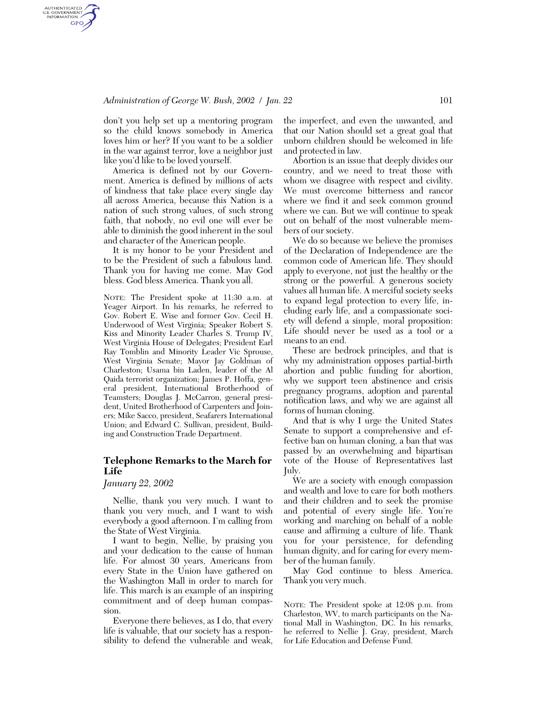## *Administration of George W. Bush, 2002 / Jan. 22* 101

don't you help set up a mentoring program so the child knows somebody in America loves him or her? If you want to be a soldier in the war against terror, love a neighbor just like you'd like to be loved yourself.

AUTHENTICATED<br>U.S. GOVERNMENT<br>INFORMATION GPO

> America is defined not by our Government. America is defined by millions of acts of kindness that take place every single day all across America, because this Nation is a nation of such strong values, of such strong faith, that nobody, no evil one will ever be able to diminish the good inherent in the soul and character of the American people.

> It is my honor to be your President and to be the President of such a fabulous land. Thank you for having me come. May God bless. God bless America. Thank you all.

> NOTE: The President spoke at 11:30 a.m. at Yeager Airport. In his remarks, he referred to Gov. Robert E. Wise and former Gov. Cecil H. Underwood of West Virginia; Speaker Robert S. Kiss and Minority Leader Charles S. Trump IV, West Virginia House of Delegates; President Earl Ray Tomblin and Minority Leader Vic Sprouse, West Virginia Senate; Mayor Jay Goldman of Charleston; Usama bin Laden, leader of the Al Qaida terrorist organization; James P. Hoffa, general president, International Brotherhood of Teamsters; Douglas J. McCarron, general president, United Brotherhood of Carpenters and Joiners; Mike Sacco, president, Seafarers International Union; and Edward C. Sullivan, president, Building and Construction Trade Department.

## **Telephone Remarks to the March for Life**

#### *January 22, 2002*

Nellie, thank you very much. I want to thank you very much, and I want to wish everybody a good afternoon. I'm calling from the State of West Virginia.

I want to begin, Nellie, by praising you and your dedication to the cause of human life. For almost 30 years, Americans from every State in the Union have gathered on the Washington Mall in order to march for life. This march is an example of an inspiring commitment and of deep human compassion.

Everyone there believes, as I do, that every life is valuable, that our society has a responsibility to defend the vulnerable and weak,

the imperfect, and even the unwanted, and that our Nation should set a great goal that unborn children should be welcomed in life and protected in law.

Abortion is an issue that deeply divides our country, and we need to treat those with whom we disagree with respect and civility. We must overcome bitterness and rancor where we find it and seek common ground where we can. But we will continue to speak out on behalf of the most vulnerable members of our society.

We do so because we believe the promises of the Declaration of Independence are the common code of American life. They should apply to everyone, not just the healthy or the strong or the powerful. A generous society values all human life. A merciful society seeks to expand legal protection to every life, including early life, and a compassionate society will defend a simple, moral proposition: Life should never be used as a tool or a means to an end.

These are bedrock principles, and that is why my administration opposes partial-birth abortion and public funding for abortion, why we support teen abstinence and crisis pregnancy programs, adoption and parental notification laws, and why we are against all forms of human cloning.

And that is why I urge the United States Senate to support a comprehensive and effective ban on human cloning, a ban that was passed by an overwhelming and bipartisan vote of the House of Representatives last July.

We are a society with enough compassion and wealth and love to care for both mothers and their children and to seek the promise and potential of every single life. You're working and marching on behalf of a noble cause and affirming a culture of life. Thank you for your persistence, for defending human dignity, and for caring for every member of the human family.

May God continue to bless America. Thank you very much.

NOTE: The President spoke at 12:08 p.m. from Charleston, WV, to march participants on the National Mall in Washington, DC. In his remarks, he referred to Nellie J. Gray, president, March for Life Education and Defense Fund.